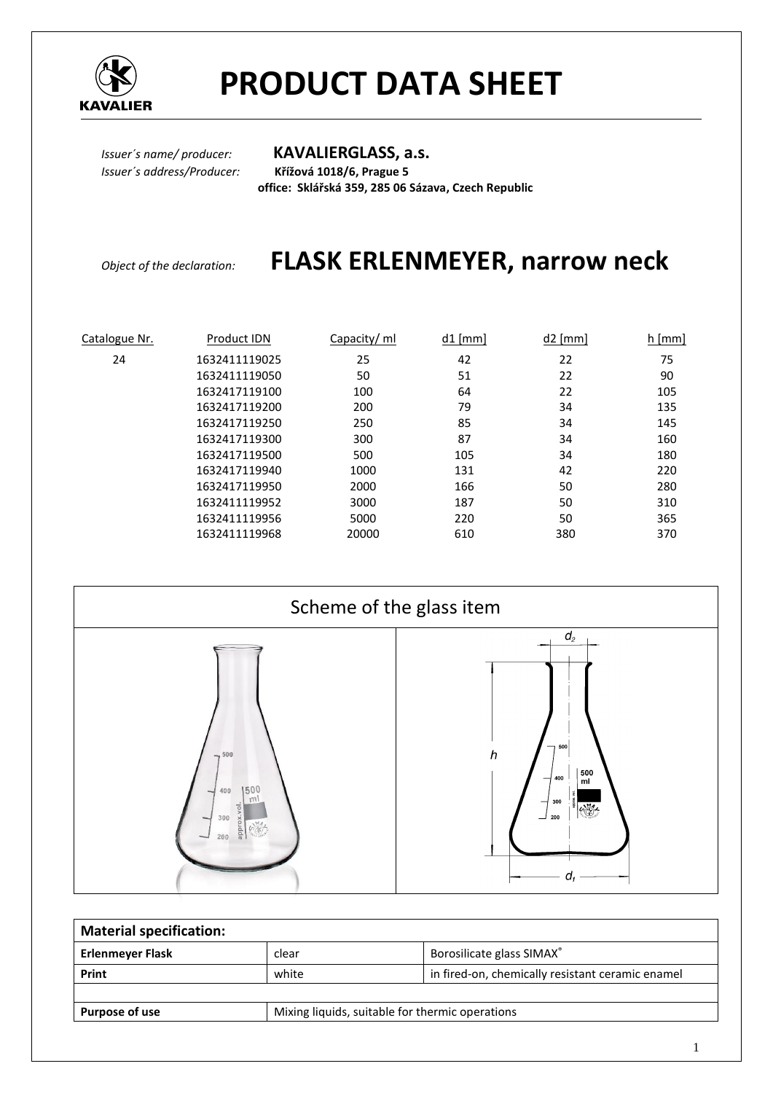

# **PRODUCT DATA SHEET**

*Issuer´s name/ producer:* **KAVALIERGLASS, a.s.** *Issuer´s address/Producer:* **Křížová 1018/6, Prague 5 office: Sklářská 359, 285 06 Sázava, Czech Republic** 

### *Object of the declaration:* **FLASK ERLENMEYER, narrow neck**

| Catalogue Nr. | Product IDN   | Capacity/ ml | $d1$ [mm] | $d2$ [mm] | $h$ [mm] |
|---------------|---------------|--------------|-----------|-----------|----------|
| 24            | 1632411119025 | 25           | 42        | 22        | 75       |
|               | 1632411119050 | 50           | 51        | 22        | 90       |
|               | 1632417119100 | 100          | 64        | 22        | 105      |
|               | 1632417119200 | 200          | 79        | 34        | 135      |
|               | 1632417119250 | 250          | 85        | 34        | 145      |
|               | 1632417119300 | 300          | 87        | 34        | 160      |
|               | 1632417119500 | 500          | 105       | 34        | 180      |
|               | 1632417119940 | 1000         | 131       | 42        | 220      |
|               | 1632417119950 | 2000         | 166       | 50        | 280      |
|               | 1632411119952 | 3000         | 187       | 50        | 310      |
|               | 1632411119956 | 5000         | 220       | 50        | 365      |
|               | 1632411119968 | 20000        | 610       | 380       | 370      |



| <b>Material specification:</b> |                                                 |                                                  |  |
|--------------------------------|-------------------------------------------------|--------------------------------------------------|--|
| <b>Erlenmeyer Flask</b>        | clear                                           | Borosilicate glass SIMAX®                        |  |
| Print                          | white                                           | in fired-on, chemically resistant ceramic enamel |  |
|                                |                                                 |                                                  |  |
| Purpose of use                 | Mixing liquids, suitable for thermic operations |                                                  |  |
|                                |                                                 |                                                  |  |

1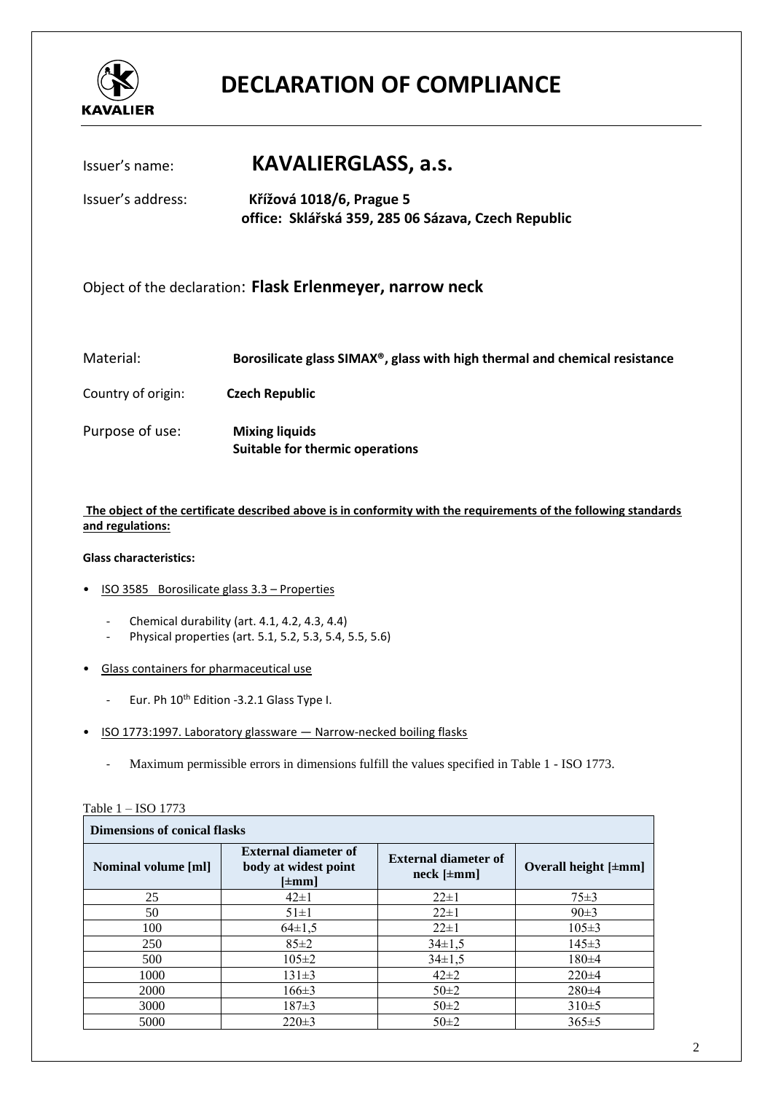

## **DECLARATION OF COMPLIANCE**

### Issuer's name: **KAVALIERGLASS, a.s.**

Issuer's address: **Křížová 1018/6, Prague 5 office: Sklářská 359, 285 06 Sázava, Czech Republic** 

Object of the declaration: **Flask Erlenmeyer, narrow neck**

| Material: | Borosilicate glass SIMAX <sup>®</sup> , glass with high thermal and chemical resistance |
|-----------|-----------------------------------------------------------------------------------------|
|-----------|-----------------------------------------------------------------------------------------|

Country of origin: **Czech Republic**

Purpose of use: **Mixing liquids Suitable for thermic operations**

**The object of the certificate described above is in conformity with the requirements of the following standards and regulations:** 

#### **Glass characteristics:**

- ISO 3585 Borosilicate glass 3.3 Properties
	- Chemical durability (art. 4.1, 4.2, 4.3, 4.4)
	- Physical properties (art. 5.1, 5.2, 5.3, 5.4, 5.5, 5.6)
- Glass containers for pharmaceutical use
	- Eur. Ph 10<sup>th</sup> Edition -3.2.1 Glass Type I.
- ISO 1773:1997. Laboratory glassware Narrow-necked boiling flasks
	- Maximum permissible errors in dimensions fulfill the values specified in Table 1 ISO 1773.

| <b>Dimensions of conical flasks</b> |                                                                   |                                                   |                           |
|-------------------------------------|-------------------------------------------------------------------|---------------------------------------------------|---------------------------|
| <b>Nominal volume [ml]</b>          | <b>External diameter of</b><br>body at widest point<br>$[\pm mm]$ | <b>External diameter of</b><br>$neck$ [ $\pm$ mm] | Overall height $[\pm mm]$ |
| 25                                  | $42\pm1$                                                          | $22 \pm 1$                                        | $75 \pm 3$                |
| 50                                  | $51 \pm 1$                                                        | $22 \pm 1$                                        | 90±3                      |
| 100                                 | $64\pm1.5$                                                        | $22 \pm 1$                                        | $105 \pm 3$               |
| 250                                 | $85 \pm 2$                                                        | $34\pm1.5$                                        | $145 \pm 3$               |
| 500                                 | $105 \pm 2$                                                       | $34 \pm 1.5$                                      | $180 + 4$                 |
| 1000                                | $131\pm3$                                                         | $42\pm2$                                          | $220 \pm 4$               |
| 2000                                | $166 \pm 3$                                                       | $50\pm2$                                          | $280\pm4$                 |
| 3000                                | $187 \pm 3$                                                       | $50\pm2$                                          | 310±5                     |
| 5000                                | $220 \pm 3$                                                       | $50\pm2$                                          | $365 \pm 5$               |

Table 1 – ISO 1773